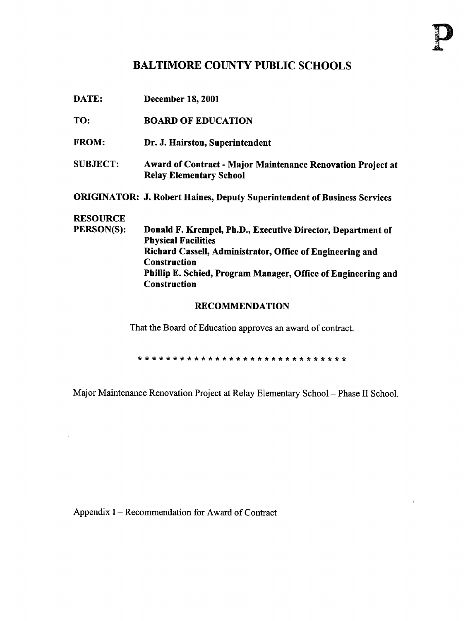## BALTIMORE COUNTY PUBLIC SCHOOLS

| DATE:                 | <b>December 18, 2001</b>                                                                             |  |  |  |
|-----------------------|------------------------------------------------------------------------------------------------------|--|--|--|
| TO:                   | <b>BOARD OF EDUCATION</b>                                                                            |  |  |  |
| <b>FROM:</b>          | Dr. J. Hairston, Superintendent                                                                      |  |  |  |
| <b>SUBJECT:</b>       | <b>Award of Contract - Major Maintenance Renovation Project at</b><br><b>Relay Elementary School</b> |  |  |  |
|                       | <b>ORIGINATOR: J. Robert Haines, Deputy Superintendent of Business Services</b>                      |  |  |  |
| <b>RESOURCE</b>       |                                                                                                      |  |  |  |
| PERSON(S):            | Donald F. Krempel, Ph.D., Executive Director, Department of<br><b>Physical Facilities</b>            |  |  |  |
|                       | Richard Cassell, Administrator, Office of Engineering and<br><b>Construction</b>                     |  |  |  |
|                       | Phillip E. Schied, Program Manager, Office of Engineering and<br><b>Construction</b>                 |  |  |  |
| <b>RECOMMENDATION</b> |                                                                                                      |  |  |  |

That the Board of Education approves an award of contract.

Major Maintenance Renovation Project at Relay Elementary School - Phase II School.

Appendix <sup>I</sup> - Recommendation for Award of Contract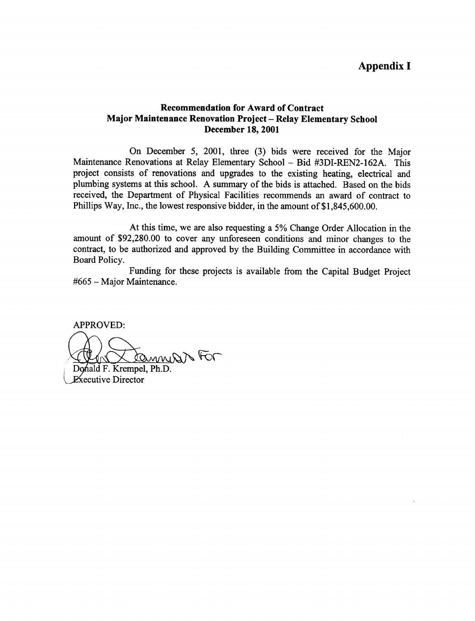## Appendix <sup>I</sup>

## Recommendation for Award of Contract Major Maintenance Renovation Project - Relay Elementary School December 18, 2001

On December 5, 2001, three (3) bids were received for the Major Maintenance Renovations at Relay Elementary School - Bid #3DI-REN2-162A. This project consists of renovations and upgrades to the existing heating, electrical and plumbing systems at this school. A summary of the bids is attached. Based on the bids received, the Department of Physical Facilities recommends an award of contract to Phillips Way, Inc., the lowest responsive bidder, in the amount of \$1,845,600.00.

At this time, we are also requesting <sup>a</sup> 5% Change Order Allocation in the amount of \$92,280.00 to cover any unforeseen conditions and minor changes to the contract, to be authorized and approved by the Building Committee in accordance with Board Policy.

Funding for these projects is available from the Capital Budget Project #665 - Major Maintenance.

APPROVED:

Cannes For Donald F. Krempel, Ph.D.

**Executive Director**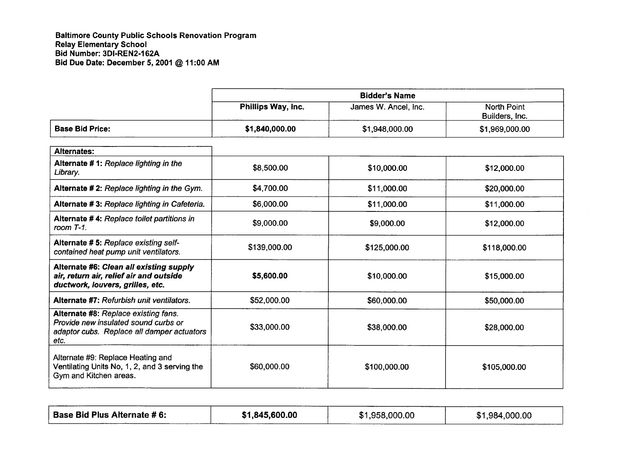Baltimore County Public Schools Renovation Program Relay Elementary School Bid Number: 3D1-REN2-162A Bid Due Date: December 5, <sup>2001</sup> @ <sup>11</sup> :00 AM

 $\Gamma$ 

|                                                                                                                                    | <b>Bidder's Name</b> |                      |                                      |
|------------------------------------------------------------------------------------------------------------------------------------|----------------------|----------------------|--------------------------------------|
|                                                                                                                                    | Phillips Way, Inc.   | James W. Ancel, Inc. | <b>North Point</b><br>Builders, Inc. |
| <b>Base Bid Price:</b>                                                                                                             | \$1,840,000.00       | \$1,948,000.00       | \$1,969,000.00                       |
| <b>Alternates:</b>                                                                                                                 |                      |                      |                                      |
| Alternate #1: Replace lighting in the<br>Library.                                                                                  | \$8,500.00           | \$10,000.00          | \$12,000.00                          |
| Alternate #2: Replace lighting in the Gym.                                                                                         | \$4,700.00           | \$11,000.00          | \$20,000.00                          |
| Alternate #3: Replace lighting in Cafeteria.                                                                                       | \$6,000.00           | \$11,000.00          | \$11,000.00                          |
| Alternate #4: Replace toilet partitions in<br>room $T-1$ .                                                                         | \$9,000.00           | \$9,000.00           | \$12,000.00                          |
| Alternate #5: Replace existing self-<br>contained heat pump unit ventilators.                                                      | \$139,000.00         | \$125,000.00         | \$118,000.00                         |
| Alternate #6: Clean all existing supply<br>air, return air, relief air and outside<br>ductwork, louvers, grilles, etc.             | \$5,600.00           | \$10,000.00          | \$15,000.00                          |
| Alternate #7: Refurbish unit ventilators.                                                                                          | \$52,000.00          | \$60,000.00          | \$50,000.00                          |
| Alternate #8: Replace existing fans.<br>Provide new insulated sound curbs or<br>adaptor cubs. Replace all damper actuators<br>etc. | \$33,000.00          | \$38,000.00          | \$28,000.00                          |
| Alternate #9: Replace Heating and<br>Ventilating Units No, 1, 2, and 3 serving the<br>Gym and Kitchen areas.                       | \$60,000.00          | \$100,000.00         | \$105,000.00                         |

| Base Bid Plus Alternate # 6:<br>\$1,845,600.00 | \$1,958,000.00 | \$1,984,000.00 |
|------------------------------------------------|----------------|----------------|
|------------------------------------------------|----------------|----------------|